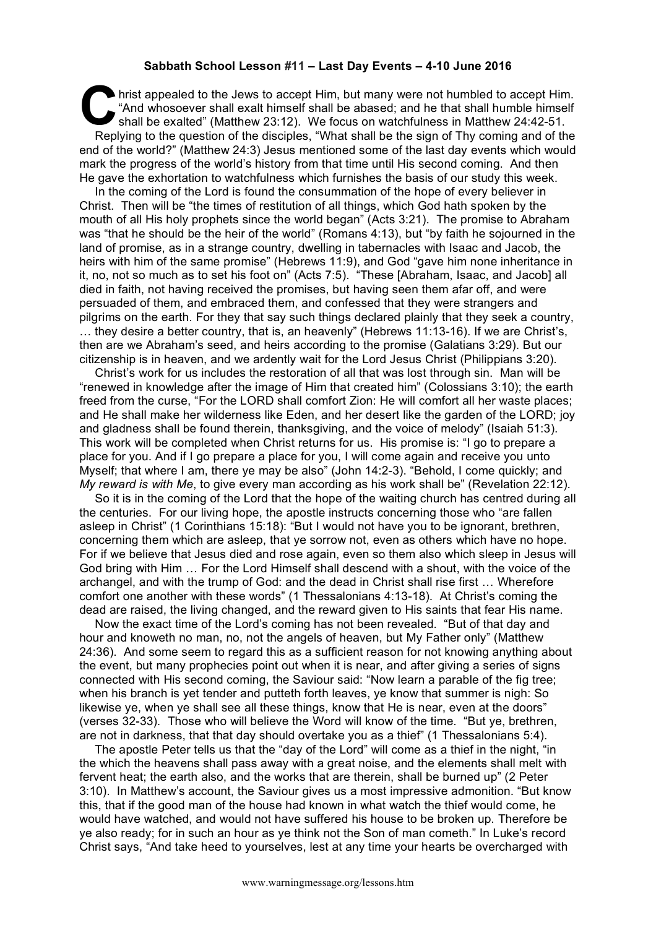## **Sabbath School Lesson #11 – Last Day Events – 4-10 June 2016**

hrist appealed to the Jews to accept Him, but many were not humbled to accept Him. "And whosoever shall exalt himself shall be abased; and he that shall humble himself shall be exalted" (Matthew 23:12). We focus on watchfulness in Matthew 24:42-51. Replying to the question of the disciples, "What shall be the sign of Thy coming and of the end of the world?" (Matthew 24:3) Jesus mentioned some of the last day events which would mark the progress of the world's history from that time until His second coming. And then He gave the exhortation to watchfulness which furnishes the basis of our study this week. **C** hris

In the coming of the Lord is found the consummation of the hope of every believer in Christ. Then will be "the times of restitution of all things, which God hath spoken by the mouth of all His holy prophets since the world began" (Acts 3:21). The promise to Abraham was "that he should be the heir of the world" (Romans 4:13), but "by faith he sojourned in the land of promise, as in a strange country, dwelling in tabernacles with Isaac and Jacob, the heirs with him of the same promise" (Hebrews 11:9), and God "gave him none inheritance in it, no, not so much as to set his foot on" (Acts 7:5). "These [Abraham, Isaac, and Jacob] all died in faith, not having received the promises, but having seen them afar off, and were persuaded of them, and embraced them, and confessed that they were strangers and pilgrims on the earth. For they that say such things declared plainly that they seek a country, … they desire a better country, that is, an heavenly" (Hebrews 11:13-16). If we are Christ's, then are we Abraham's seed, and heirs according to the promise (Galatians 3:29). But our citizenship is in heaven, and we ardently wait for the Lord Jesus Christ (Philippians 3:20).

Christ's work for us includes the restoration of all that was lost through sin. Man will be "renewed in knowledge after the image of Him that created him" (Colossians 3:10); the earth freed from the curse, "For the LORD shall comfort Zion: He will comfort all her waste places; and He shall make her wilderness like Eden, and her desert like the garden of the LORD; joy and gladness shall be found therein, thanksgiving, and the voice of melody" (Isaiah 51:3). This work will be completed when Christ returns for us. His promise is: "I go to prepare a place for you. And if I go prepare a place for you, I will come again and receive you unto Myself; that where I am, there ye may be also" (John 14:2-3). "Behold, I come quickly; and *My reward is with Me*, to give every man according as his work shall be" (Revelation 22:12).

So it is in the coming of the Lord that the hope of the waiting church has centred during all the centuries. For our living hope, the apostle instructs concerning those who "are fallen asleep in Christ" (1 Corinthians 15:18): "But I would not have you to be ignorant, brethren, concerning them which are asleep, that ye sorrow not, even as others which have no hope. For if we believe that Jesus died and rose again, even so them also which sleep in Jesus will God bring with Him … For the Lord Himself shall descend with a shout, with the voice of the archangel, and with the trump of God: and the dead in Christ shall rise first … Wherefore comfort one another with these words" (1 Thessalonians 4:13-18). At Christ's coming the dead are raised, the living changed, and the reward given to His saints that fear His name.

Now the exact time of the Lord's coming has not been revealed. "But of that day and hour and knoweth no man, no, not the angels of heaven, but My Father only" (Matthew 24:36). And some seem to regard this as a sufficient reason for not knowing anything about the event, but many prophecies point out when it is near, and after giving a series of signs connected with His second coming, the Saviour said: "Now learn a parable of the fig tree; when his branch is yet tender and putteth forth leaves, ye know that summer is nigh: So likewise ye, when ye shall see all these things, know that He is near, even at the doors" (verses 32-33). Those who will believe the Word will know of the time. "But ye, brethren, are not in darkness, that that day should overtake you as a thief" (1 Thessalonians 5:4).

The apostle Peter tells us that the "day of the Lord" will come as a thief in the night, "in the which the heavens shall pass away with a great noise, and the elements shall melt with fervent heat; the earth also, and the works that are therein, shall be burned up" (2 Peter 3:10). In Matthew's account, the Saviour gives us a most impressive admonition. "But know this, that if the good man of the house had known in what watch the thief would come, he would have watched, and would not have suffered his house to be broken up. Therefore be ye also ready; for in such an hour as ye think not the Son of man cometh." In Luke's record Christ says, "And take heed to yourselves, lest at any time your hearts be overcharged with